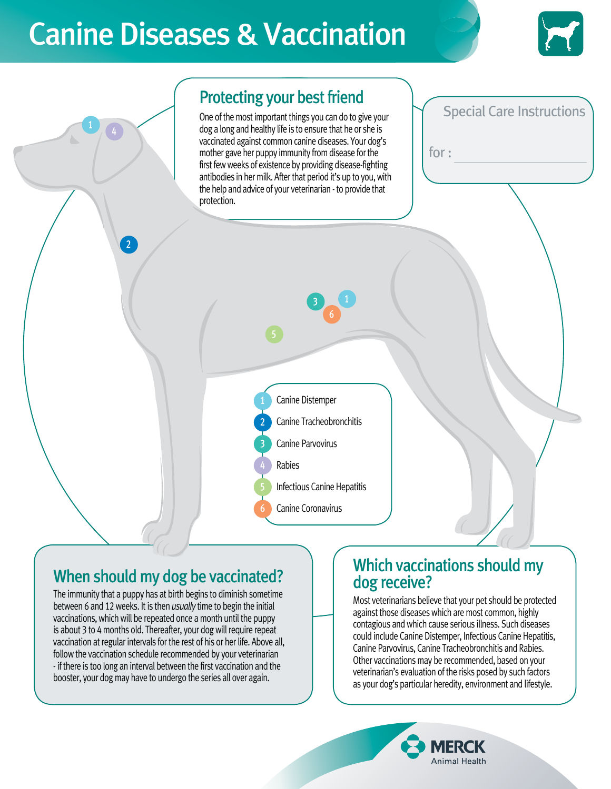# Canine Diseases & Vaccination



Special Care Instructions

for :

#### Protecting your best friend

One of the most important things you can do to give your dog a long and healthy life is to ensure that he or she is vaccinated against common canine diseases. Your dog's mother gave her puppy immunity from disease for the first few weeks of existence by providing disease-fighting antibodies in her milk. After that period it's up to you, with the help and advice of your veterinarian - to provide that protection.





# When should my dog be vaccinated?

2

The immunity that a puppy has at birth begins to diminish sometime between 6 and 12 weeks. It is then *usually* time to begin the initial vaccinations, which will be repeated once a month until the puppy is about 3 to 4 months old. Thereafter, your dog will require repeat vaccination at regular intervals for the rest of his or her life. Above all, follow the vaccination schedule recommended by your veterinarian - if there is too long an interval between the first vaccination and the booster, your dog may have to undergo the series all over again.

#### Which vaccinations should my dog receive?

Most veterinarians believe that your pet should be protected against those diseases which are most common, highly contagious and which cause serious illness. Such diseases could include Canine Distemper, Infectious Canine Hepatitis, Canine Parvovirus, Canine Tracheobronchitis and Rabies. Other vaccinations may be recommended, based on your veterinarian's evaluation of the risks posed by such factors as your dog's particular heredity, environment and lifestyle.